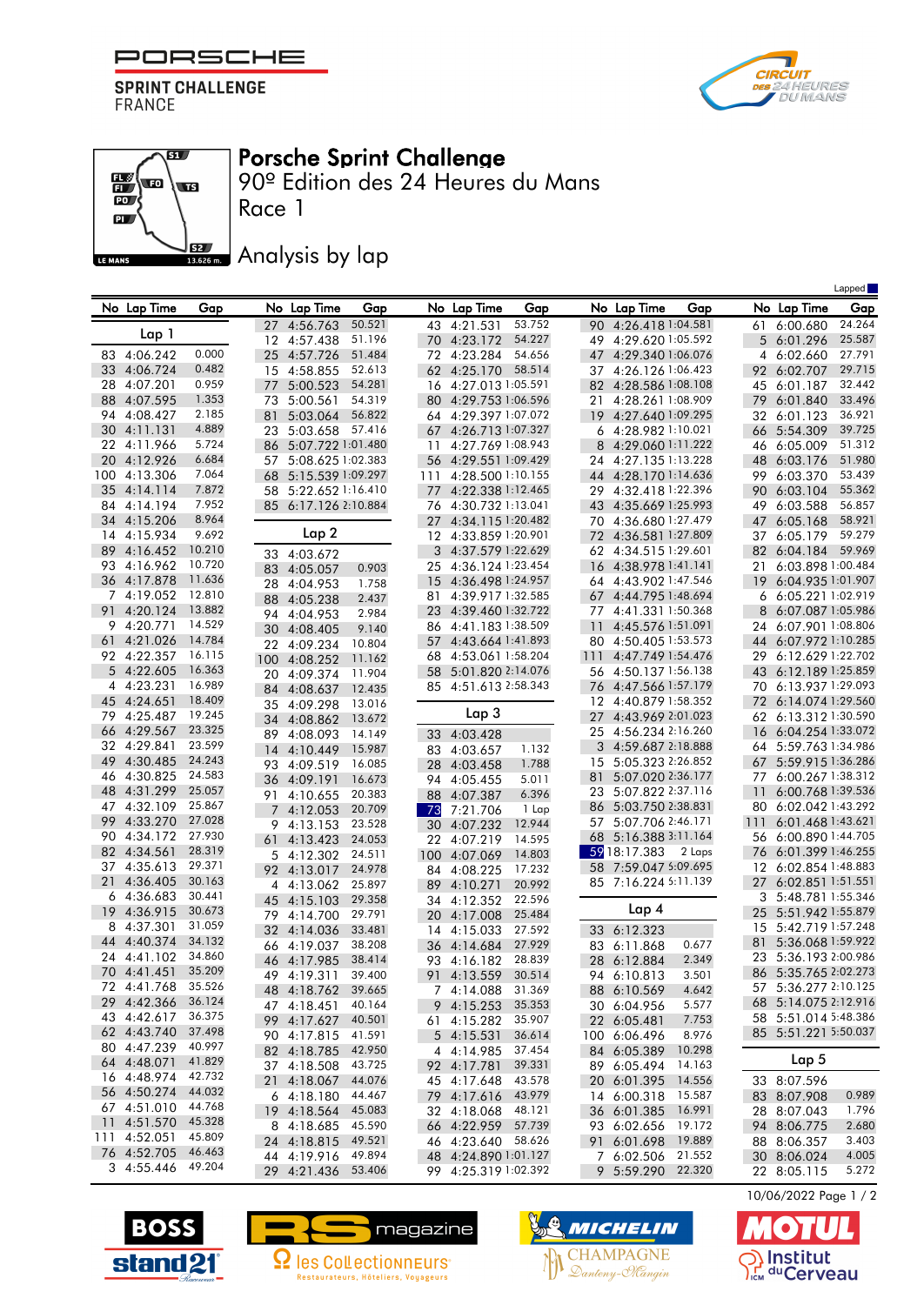

**SPRINT CHALLENGE** FRANCE





## Porsche Sprint Challenge

90º Edition des 24 Heures du Mans

**JEZ Analysis by lap** 

|     |                            |                  |          |                               |                  |          |                                           |                  |           |                                          |                  |          |                                        | Lapped           |
|-----|----------------------------|------------------|----------|-------------------------------|------------------|----------|-------------------------------------------|------------------|-----------|------------------------------------------|------------------|----------|----------------------------------------|------------------|
|     | No Lap Time                | Gap              |          | No Lap Time                   | Gap              |          | No Lap Time                               | Gap              |           | No Lap Time                              | Gap              |          | No Lap Time                            | Gap              |
|     |                            |                  |          | 27 4:56.763                   | 50.521           |          | 43 4:21.531                               | 53.752           |           | 90 4:26.418 1:04.581                     |                  |          | 61 6:00.680                            | 24.264           |
|     | Lap 1                      |                  |          | 12 4:57.438                   | 51.196           |          | 70 4:23.172                               | 54.227           |           | 49 4:29.620 1:05.592                     |                  |          | 5 6:01.296                             | 25.587           |
|     | 83 4:06.242                | 0.000            | 25       | 4:57.726                      | 51.484           |          | 72 4:23.284                               | 54.656           |           | 47 4:29.340 1:06.076                     |                  |          | 4 6:02.660                             | 27.791           |
|     | 33 4:06.724                | 0.482            | 15       | 4:58.855                      | 52.613           |          | 62 4:25.170                               | 58.514           |           | 37 4:26.126 1:06.423                     |                  |          | 92 6:02.707                            | 29.715           |
|     | 28 4:07.201                | 0.959            | 77       | 5:00.523                      | 54.281           |          | 16 4:27.013 1:05.591                      |                  |           | 82 4:28.586 1:08.108                     |                  | 45       | 6:01.187                               | 32.442           |
| 88  | 4:07.595                   | 1.353            | 73       | 5:00.561                      | 54.319           |          | 80 4:29.753 1:06.596                      |                  | 21        | 4:28.261 1:08.909                        |                  | 79       | 6:01.840                               | 33.496           |
|     | 94 4:08.427                | 2.185<br>4.889   | 81       | 5:03.064                      | 56.822           |          | 64 4:29.397 1:07.072                      |                  |           | 19 4:27.640 1:09.295                     |                  | 32       | 6:01.123                               | 36.921           |
|     | 30 4:11.131<br>22 4:11.966 | 5.724            | 23<br>86 | 5:03.658<br>5:07.722 1:01.480 | 57.416           |          | 67 4:26.713 1:07.327<br>4:27.769 1:08.943 |                  | 8         | 6 4:28.982 1:10.021<br>4:29.060 1:11.222 |                  | 66       | 5:54.309<br>6:05.009                   | 39.725<br>51.312 |
| 20  | 4:12.926                   | 6.684            | 57       | 5:08.625 1:02.383             |                  | 11<br>56 | 4:29.551 1:09.429                         |                  |           | 24 4:27.135 1:13.228                     |                  | 46<br>48 | 6:03.176                               | 51.980           |
| 100 | 4:13.306                   | 7.064            | 68       | 5:15.539 1:09.297             |                  | 111      | 4:28.500 1:10.155                         |                  |           | 44 4:28.170 1:14.636                     |                  | 99       | 6:03.370                               | 53.439           |
| 35  | 4:14.114                   | 7.872            | 58       | 5:22.652 1:16.410             |                  |          | 77 4:22.338 1:12.465                      |                  | 29        | 4:32.418 1:22.396                        |                  | 90       | 6:03.104                               | 55.362           |
|     | 84 4:14.194                | 7.952            | 85       | 6:17.126 2:10.884             |                  |          | 76 4:30.732 1:13.041                      |                  |           | 43 4:35.669 1:25.993                     |                  | 49       | 6:03.588                               | 56.857           |
|     | 34 4:15.206                | 8.964            |          |                               |                  | 27       | 4:34.1151:20.482                          |                  |           | 70 4:36.680 1:27.479                     |                  | 47       | 6:05.168                               | 58.921           |
|     | 14 4:15.934                | 9.692            |          | Lap 2                         |                  |          | 12 4:33.859 1:20.901                      |                  | 72        | 4:36.581 1:27.809                        |                  | 37       | 6:05.179                               | 59.279           |
|     | 89 4:16.452                | 10.210           |          | 33 4:03.672                   |                  | 3        | 4:37.579 1:22.629                         |                  |           | 62 4:34.515 1:29.601                     |                  | 82       | 6:04.184                               | 59.969           |
| 93  | 4:16.962                   | 10.720           |          | 83 4:05.057                   | 0.903            | 25       | 4:36.124 1:23.454                         |                  | 16        | 4:38.978 1:41.141                        |                  | 21       | 6:03.898 1:00.484                      |                  |
|     | 36 4:17.878                | 11.636           | 28       | 4:04.953                      | 1.758            | 15       | 4:36.498 1:24.957                         |                  |           | 64 4:43.902 1:47.546                     |                  | 19       | 6:04.935 1:01.907                      |                  |
|     | 7 4:19.052                 | 12.810           | 88       | 4:05.238                      | 2.437            | 81       | 4:39.917 1:32.585                         |                  | 67        | 4:44.795 1:48.694                        |                  | 6        | 6:05.221 1:02.919                      |                  |
|     | 91 4:20.124                | 13.882<br>14.529 | 94       | 4:04.953                      | 2.984            | 23       | 4:39.460 1:32.722                         |                  | 77        | 4:41.331 1:50.368                        |                  | 8        | 6:07.087 1:05.986                      |                  |
| 61  | 9 4:20.771<br>4:21.026     | 14.784           | 30       | 4:08.405                      | 9.140            |          | 86 4:41.1831:38.509<br>4:43.664 1:41.893  |                  | -11       | 4:45.576 1:51.091<br>4:50.405 1:53.573   |                  | 24       | 6:07.901 1:08.806<br>6:07.972 1:10.285 |                  |
|     | 92 4:22.357                | 16.115           | 22       | 4:09.234                      | 10.804           | 57       | 68 4:53.061 1:58.204                      |                  | 80<br>111 | 4:47.749 1:54.476                        |                  | 44<br>29 | 6:12.629 1:22.702                      |                  |
|     | 5 4:22.605                 | 16.363           | 100      | 4:08.252                      | 11.162           |          | 58 5:01.820 2:14.076                      |                  |           | 56 4:50.137 1:56.138                     |                  | 43       | 6:12.189 1:25.859                      |                  |
|     | 4 4:23.231                 | 16.989           | 20<br>84 | 4:09.374<br>4:08.637          | 11.904<br>12.435 |          | 85 4:51.613 2:58.343                      |                  |           | 76 4:47.566 1:57.179                     |                  | 70       | 6:13.937 1:29.093                      |                  |
|     | 45 4:24.651                | 18.409           | 35       | 4:09.298                      | 13.016           |          |                                           |                  |           | 12 4:40.879 1:58.352                     |                  | 72       | 6:14.074 1:29.560                      |                  |
| 79  | 4:25.487                   | 19.245           | 34       | 4:08.862                      | 13.672           |          | Lap 3                                     |                  | 27        | 4:43.969 2:01.023                        |                  | 62       | 6:13.312 1:30.590                      |                  |
| 66  | 4:29.567                   | 23.325           | 89       | 4:08.093                      | 14.149           |          | 33 4:03.428                               |                  |           | 25 4:56.234 2:16.260                     |                  | 16       | 6:04.254 1:33.072                      |                  |
|     | 32 4:29.841                | 23.599           | 14       | 4:10.449                      | 15.987           |          | 83 4:03.657                               | 1.132            |           | 3 4:59.687 2:18.888                      |                  | 64       | 5:59.763 1:34.986                      |                  |
|     | 49 4:30.485                | 24.243           | 93       | 4:09.519                      | 16.085           |          | 28 4:03.458                               | 1.788            |           | 15 5:05.323 2:26.852                     |                  | 67       | 5:59.915 1:36.286                      |                  |
|     | 46 4:30.825                | 24.583           |          | 36 4:09.191                   | 16.673           | 94       | 4:05.455                                  | 5.011            | 81        | 5:07.020 2:36.177                        |                  | 77       | 6:00.267 1:38.312                      |                  |
| 48  | 4:31.299                   | 25.057           |          | 91 4:10.655                   | 20.383           | 88       | 4:07.387                                  | 6.396            |           | 23 5:07.822 2:37.116                     |                  | 11       | 6:00.768 1:39.536                      |                  |
| 47  | 4:32.109                   | 25.867           |          | 4:12.053                      | 20.709           | 73       | 7:21.706                                  | 1 Lap            | 86        | 5:03.750 2:38.831                        |                  | 80       | 6:02.042 1:43.292                      |                  |
|     | 99 4:33.270                | 27.028<br>27.930 | 9        | 4:13.153                      | 23.528           | 30       | 4:07.232                                  | 12.944           | 57        | 5:07.706 2:46.171                        |                  | 111      | 6:01.468 1:43.621<br>6:00.890 1:44.705 |                  |
| 90  | 4:34.172<br>82 4:34.561    | 28.319           | 61       | 4:13.423                      | 24.053           |          | 22 4:07.219                               | 14.595           | 68        | 5:16.388 3:11.164<br>59 18:17.383        | 2 Laps           | 56<br>76 | 6:01.399 1:46.255                      |                  |
| 37  | 4:35.613                   | 29.371           | 5        | 4:12.302                      | 24.511           | 100      | 4:07.069                                  | 14.803           |           | 58 7:59.047 5:09.695                     |                  | 12       | 6:02.854 1:48.883                      |                  |
| 21  | 4:36.405                   | 30.163           |          | 92 4:13.017                   | 24.978<br>25.897 |          | 84 4:08.225                               | 17.232<br>20.992 |           | 85 7:16.224 5:11.139                     |                  | 27       | 6:02.851 1:51.551                      |                  |
|     | 6 4:36.683                 | 30.441           | 45       | 4 4:13.062<br>4:15.103        | 29.358           |          | 89 4:10.271<br>34 4:12.352                | 22.596           |           |                                          |                  | 3        | 5:48.781 1:55.346                      |                  |
| 19  | 4:36.915                   | 30.673           | 79.      | 4:14.700                      | 29.791           |          | 20 4:17.008                               | 25.484           |           | Lap 4                                    |                  | 25       | 5:51.942 1:55.879                      |                  |
| 8   | 4:37.301                   | 31.059           | 32       | 4:14.036                      | 33.481           | 14       | 4:15.033                                  | 27.592           |           | 33 6:12.323                              |                  | 15       | 5:42.719 1:57.248                      |                  |
|     | 44 4:40.374                | 34.132           | 66       | 4:19.037                      | 38.208           |          | 36 4:14.684                               | 27.929           |           | 83 6:11.868                              | 0.677            | 81       | 5:36.068 1:59.922                      |                  |
|     | 24 4:41.102                | 34.860           |          | 46 4:17.985                   | 38.414           |          | 93 4:16.182                               | 28.839           |           | 28 6:12.884                              | 2.349            |          | 23 5:36.193 2:00.986                   |                  |
|     | 70 4:41.451                | 35.209           |          | 49 4:19.311                   | 39.400           |          | 91 4:13.559                               | 30.514           |           | 94 6:10.813                              | 3.501            |          | 86 5:35.765 2:02.273                   |                  |
|     | 72 4:41.768                | 35.526           |          | 48 4:18.762                   | 39.665           |          | 7 4:14.088 31.369                         |                  |           | 88 6:10.569                              | 4.642            |          | 57 5:36.277 2:10.125                   |                  |
|     | 29 4:42.366                | 36.124           |          | 47 4:18.451                   | 40.164           |          | 9 4:15.253                                | 35.353           |           | 30 6:04.956                              | 5.577            |          | 68 5:14.075 2:12.916                   |                  |
|     | 43 4:42.617                | 36.375<br>37.498 |          | 99 4:17.627                   | 40.501           |          | 61 4:15.282                               | 35.907           |           | 22 6:05.481                              | 7.753            |          | 58 5:51.014 5:48.386                   |                  |
|     | 62 4:43.740<br>80 4:47.239 | 40.997           |          | 90 4:17.815                   | 41.591           |          | 5 4:15.531                                | 36.614           |           | 100 6:06.496                             | 8.976            |          | 85 5:51.221 5:50.037                   |                  |
|     | 64 4:48.071                | 41.829           |          | 82 4:18.785                   | 42.950           |          | 4 4:14.985                                | 37.454           |           | 84 6:05.389                              | 10.298           |          | Lap 5                                  |                  |
|     | 16 4:48.974                | 42.732           |          | 37 4:18.508                   | 43.725<br>44.076 |          | 92 4:17.781<br>45 4:17.648                | 39.331<br>43.578 |           | 89 6:05.494                              | 14.163<br>14.556 |          |                                        |                  |
|     | 56 4:50.274 44.032         |                  |          | 21 4:18.067<br>64:18.180      | 44.467           |          | 79 4:17.616                               | 43.979           |           | 20 6:01.395<br>14 6:00.318               | 15.587           |          | 33 8:07.596<br>83 8:07.908             | 0.989            |
|     | 67 4:51.010                | 44.768           |          | 19 4:18.564                   | 45.083           |          | 32 4:18.068                               | 48.121           |           | 36 6:01.385                              | 16.991           |          | 28 8:07.043                            | 1.796            |
|     | 11 4:51.570                | 45.328           |          | 8 4:18.685                    | 45.590           |          | 66 4:22.959                               | 57.739           |           | 93 6:02.656                              | 19.172           |          | 94 8:06.775                            | 2.680            |
| 111 | 4:52.051                   | 45.809           |          | 24 4:18.815                   | 49.521           |          | 46 4:23.640 58.626                        |                  |           | 91 6:01.698                              | 19.889           |          | 88 8:06.357                            | 3.403            |
|     | 76 4:52.705                | 46.463           |          | 44 4:19.916                   | 49.894           |          | 48 4:24.890 1:01.127                      |                  |           | 7 6:02.506                               | 21.552           |          | 30 8:06.024                            | 4.005            |
|     | 3 4:55.446                 | 49.204           |          | 29 4:21.436                   | 53.406           |          | 99 4:25.319 1:02.392                      |                  |           | 9 5:59.290 22.320                        |                  |          | 22 8:05.115                            | 5.272            |